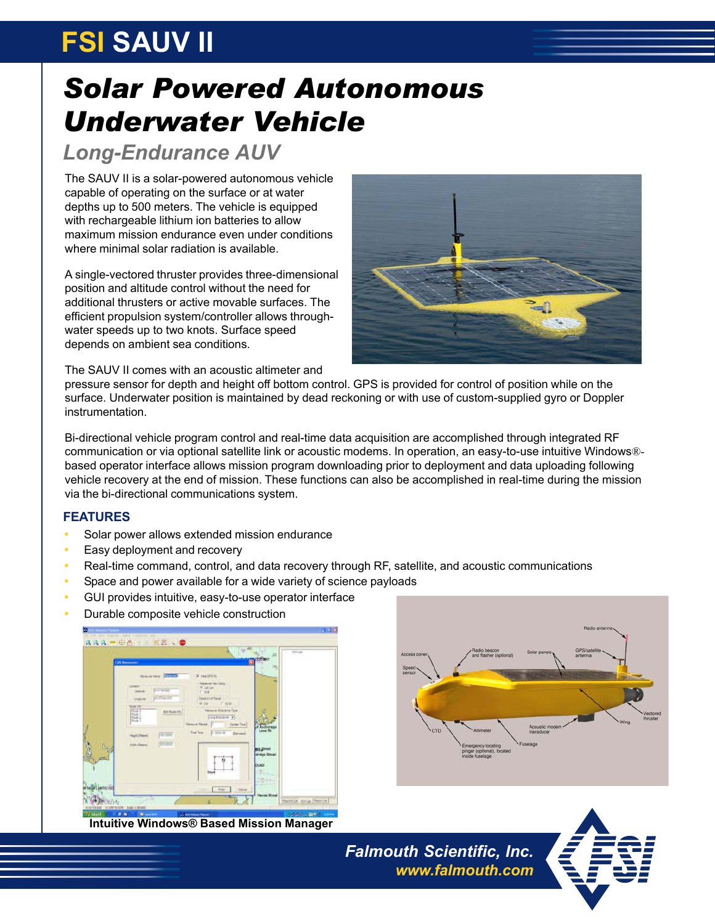# **FSI SAUV II**

## *Solar Powered Autonomous Underwater Vehicle*

### *Long-Endurance AUV*

The SAUV II is a solar-powered autonomous vehicle capable of operating on the surface or at water depths up to 500 meters. The vehicle is equipped with rechargeable lithium ion batteries to allow maximum mission endurance even under conditions where minimal solar radiation is available.

A single-vectored thruster provides three-dimensional position and altitude control without the need for additional thrusters or active movable surfaces. The efficient propulsion system/controller allows throughwater speeds up to two knots. Surface speed depends on ambient sea conditions.



The SAUV II comes with an acoustic altimeter and

pressure sensor for depth and height off bottom control. GPS is provided for control of position while on the surface. Underwater position is maintained by dead reckoning or with use of custom-supplied gyro or Doppler instrumentation.

Bi-directional vehicle program control and real-time data acquisition are accomplished through integrated RF communication or via optional satellite link or acoustic modems. In operation, an easy-to-use intuitive Windows® based operator interface allows mission program downloading prior to deployment and data uploading following vehicle recovery at the end of mission. These functions can also be accomplished in real-time during the mission via the bi-directional communications system.

#### **FEATURES**

- Solar power allows extended mission endurance
- Easy deployment and recovery
- Real-time command, control, and data recovery through RF, satellite, and acoustic communications
- Space and power available for a wide variety of science payloads
- GUI provides intuitive, easy-to-use operator interface
- Durable composite vehicle construction



**Intuitive Windows® Based Mission Manager**



*Falmouth Scientific, Inc. www.falmouth.com*